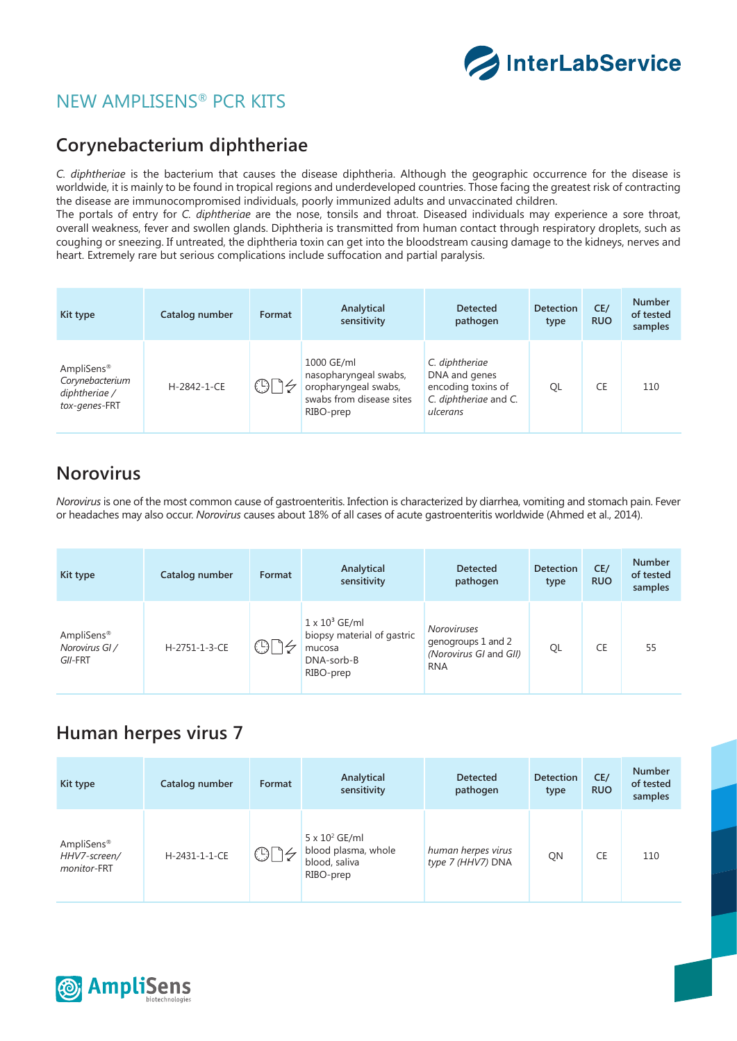

## NEW AMPLISENS® PCR KITS

#### **Corynebacterium diphtheriae**

*C. diphtheriae* is the bacterium that causes the disease diphtheria. Although the geographic occurrence for the disease is worldwide, it is mainly to be found in tropical regions and underdeveloped countries. Those facing the greatest risk of contracting the disease are immunocompromised individuals, poorly immunized adults and unvaccinated children.

The portals of entry for *C. diphtheriae* are the nose, tonsils and throat. Diseased individuals may experience a sore throat, overall weakness, fever and swollen glands. Diphtheria is transmitted from human contact through respiratory droplets, such as coughing or sneezing. If untreated, the diphtheria toxin can get into the bloodstream causing damage to the kidneys, nerves and heart. Extremely rare but serious complications include suffocation and partial paralysis.

| Kit type                                                                    | Catalog number | Format | Analytical<br>sensitivity                                                                            | <b>Detected</b><br>pathogen                                                                | <b>Detection</b><br>type | CE/<br><b>RUO</b> | <b>Number</b><br>of tested<br>samples |
|-----------------------------------------------------------------------------|----------------|--------|------------------------------------------------------------------------------------------------------|--------------------------------------------------------------------------------------------|--------------------------|-------------------|---------------------------------------|
| AmpliSens <sup>®</sup><br>Corynebacterium<br>diphtheriae /<br>tox-genes-FRT | H-2842-1-CE    | $\cap$ | 1000 GE/ml<br>nasopharyngeal swabs,<br>oropharyngeal swabs,<br>swabs from disease sites<br>RIBO-prep | C. diphtheriae<br>DNA and genes<br>encoding toxins of<br>C. diphtheriae and C.<br>ulcerans | QL                       | CE                | 110                                   |

#### **Norovirus**

*Norovirus* is one of the most common cause of gastroenteritis. Infection is characterized by diarrhea, vomiting and stomach pain. Fever or headaches may also occur. *Norovirus* causes about 18% of all cases of acute gastroenteritis worldwide (Ahmed et al., 2014).

| Kit type                                            | Catalog number | Format     | Analytical<br>sensitivity                                                                | <b>Detected</b><br>pathogen                                                      | <b>Detection</b><br>type | CE/<br><b>RUO</b> | <b>Number</b><br>of tested<br>samples |
|-----------------------------------------------------|----------------|------------|------------------------------------------------------------------------------------------|----------------------------------------------------------------------------------|--------------------------|-------------------|---------------------------------------|
| AmpliSens <sup>®</sup><br>Norovirus GI /<br>GII-FRT | H-2751-1-3-CE  | $\bigcirc$ | $1 \times 10^3$ GE/ml<br>biopsy material of gastric<br>mucosa<br>DNA-sorb-B<br>RIBO-prep | <b>Noroviruses</b><br>genogroups 1 and 2<br>(Norovirus GI and GII)<br><b>RNA</b> | QL                       | CE                | 55                                    |

#### **Human herpes virus 7**

| Kit type                                  | Catalog number | Format                | Analytical<br>sensitivity                                                  | <b>Detected</b><br>pathogen             | <b>Detection</b><br>type | CE/<br><b>RUO</b> | <b>Number</b><br>of tested<br>samples |
|-------------------------------------------|----------------|-----------------------|----------------------------------------------------------------------------|-----------------------------------------|--------------------------|-------------------|---------------------------------------|
| AmpliSens®<br>HHV7-screen/<br>monitor-FRT | H-2431-1-1-CE  | $\odot\lbrack$<br>4/7 | $5 \times 10^2$ GE/ml<br>blood plasma, whole<br>blood, saliva<br>RIBO-prep | human herpes virus<br>type 7 (HHV7) DNA | QN                       | CE                | 110                                   |

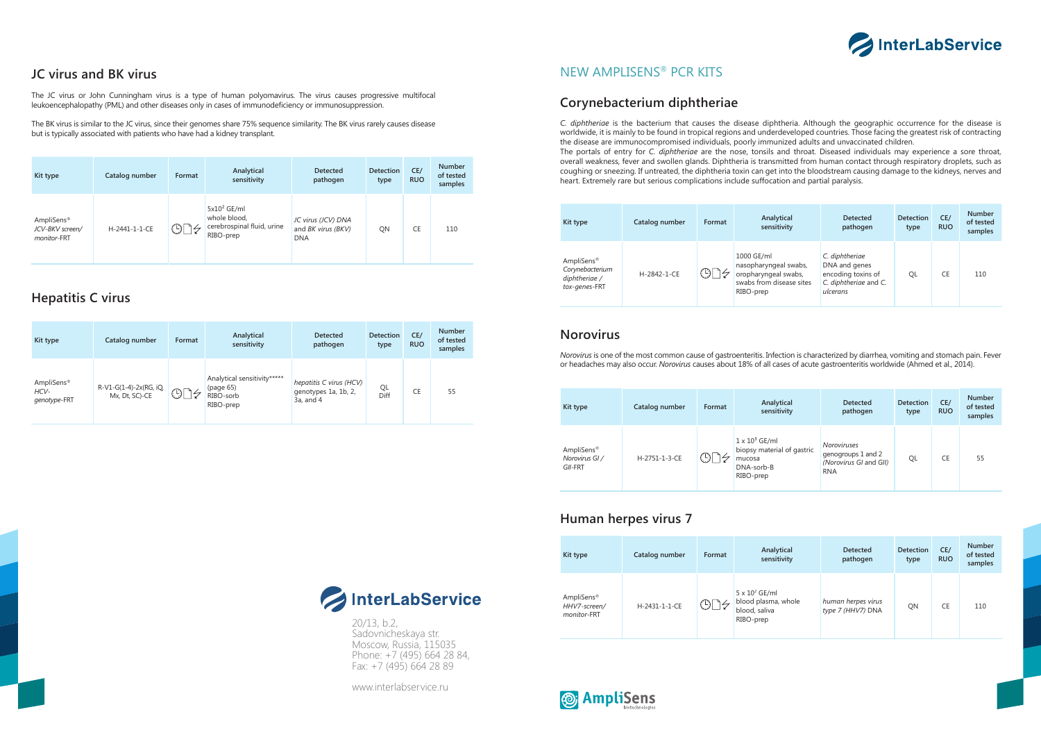20/13, b.2, Sadovnicheskaya str. Moscow, Russia, 115035 Phone: +7 (495) 664 28 84, Fax: +7 (495) 664 28 89

www.interlabservice.ru





## **Hepatitis C virus**

## **JC virus and BK virus**

The JC virus or John Cunningham virus is a type of human polyomavirus. The virus causes progressive multifocal leukoencephalopathy (PML) and other diseases only in cases of immunodeficiency or immunosuppression.

The BK virus is similar to the JC virus, since their genomes share 75% sequence similarity. The BK virus rarely causes disease but is typically associated with patients who have had a kidney transplant.

| Kit type                                                 | Catalog number | Format | Analytical<br>sensitivity                                                 | <b>Detected</b><br>pathogen                            | <b>Detection</b><br>type | CE/<br><b>RUO</b> | <b>Number</b><br>of tested<br>samples |
|----------------------------------------------------------|----------------|--------|---------------------------------------------------------------------------|--------------------------------------------------------|--------------------------|-------------------|---------------------------------------|
| AmpliSens <sup>®</sup><br>JCV-BKV screen/<br>monitor-FRT | H-2441-1-1-CE  | ⊙<br>ム | $5x10^2$ GE/ml<br>whole blood,<br>cerebrospinal fluid, urine<br>RIBO-prep | JC virus (JCV) DNA<br>and BK virus (BKV)<br><b>DNA</b> | QN                       | CE                | 110                                   |

| Kit type                                       | Catalog number                           | Format                | Analytical<br>sensitivity                                          | <b>Detected</b><br>pathogen                                       | <b>Detection</b><br>type | CE/<br><b>RUO</b> | <b>Number</b><br>of tested<br>samples |
|------------------------------------------------|------------------------------------------|-----------------------|--------------------------------------------------------------------|-------------------------------------------------------------------|--------------------------|-------------------|---------------------------------------|
| AmpliSens <sup>®</sup><br>HCV-<br>genotype-FRT | R-V1-G(1-4)-2x(RG, iQ,<br>Mx, Dt, SC)-CE | $\bigcirc$ $\uparrow$ | Analytical sensitivity*****<br>(page 65)<br>RIBO-sorb<br>RIBO-prep | hepatitis C virus (HCV)<br>genotypes 1a, 1b, 2,<br>$3a$ , and $4$ | QL<br>Diff               | <b>CE</b>         | 55                                    |

| Kit type                                                                    | Catalog number | Format         | Analytical<br>sensitivity                                                                            | <b>Detected</b><br>pathogen                                                                | <b>Detection</b><br>type | CE/<br><b>RUO</b> | <b>Number</b><br>of tested<br>samples |
|-----------------------------------------------------------------------------|----------------|----------------|------------------------------------------------------------------------------------------------------|--------------------------------------------------------------------------------------------|--------------------------|-------------------|---------------------------------------|
| AmpliSens <sup>®</sup><br>Corynebacterium<br>diphtheriae /<br>tox-genes-FRT | H-2842-1-CE    | $\circledcirc$ | 1000 GE/ml<br>nasopharyngeal swabs,<br>oropharyngeal swabs,<br>swabs from disease sites<br>RIBO-prep | C. diphtheriae<br>DNA and genes<br>encoding toxins of<br>C. diphtheriae and C.<br>ulcerans | QL                       | CE                | 110                                   |

| Kit type                                | Catalog number | Format                    | Analytical<br>sensitivity                                                                | <b>Detected</b><br>pathogen                                                      | <b>Detection</b><br>type | CE/<br><b>RUO</b> | <b>Number</b><br>of tested<br>samples |
|-----------------------------------------|----------------|---------------------------|------------------------------------------------------------------------------------------|----------------------------------------------------------------------------------|--------------------------|-------------------|---------------------------------------|
| AmpliSens®<br>Norovirus GI /<br>GII-FRT | H-2751-1-3-CE  | $\overline{(\mathbb{D})}$ | $1 \times 10^3$ GE/ml<br>biopsy material of gastric<br>mucosa<br>DNA-sorb-B<br>RIBO-prep | <b>Noroviruses</b><br>genogroups 1 and 2<br>(Norovirus GI and GII)<br><b>RNA</b> | QL                       | CE                | 55                                    |

| Kit type                                              | Catalog number | Format       | Analytical<br>sensitivity                                                  | <b>Detected</b><br>pathogen             | <b>Detection</b><br>type | CE/<br><b>RUO</b> | <b>Number</b><br>of tested<br>samples |
|-------------------------------------------------------|----------------|--------------|----------------------------------------------------------------------------|-----------------------------------------|--------------------------|-------------------|---------------------------------------|
| AmpliSens <sup>®</sup><br>HHV7-screen/<br>monitor-FRT | H-2431-1-1-CE  | $\bigcirc$ [ | $5 \times 10^2$ GE/ml<br>blood plasma, whole<br>blood, saliva<br>RIBO-prep | human herpes virus<br>type 7 (HHV7) DNA | QN                       | CE                | 110                                   |



#### **Corynebacterium diphtheriae**

## NEW AMPLISENS® PCR KITS

#### **Norovirus**

#### **Human herpes virus 7**

*C. diphtheriae* is the bacterium that causes the disease diphtheria. Although the geographic occurrence for the disease is worldwide, it is mainly to be found in tropical regions and underdeveloped countries. Those facing the greatest risk of contracting the disease are immunocompromised individuals, poorly immunized adults and unvaccinated children. The portals of entry for *C. diphtheriae* are the nose, tonsils and throat. Diseased individuals may experience a sore throat, overall weakness, fever and swollen glands. Diphtheria is transmitted from human contact through respiratory droplets, such as coughing or sneezing. If untreated, the diphtheria toxin can get into the bloodstream causing damage to the kidneys, nerves and heart. Extremely rare but serious complications include suffocation and partial paralysis.

*Norovirus* is one of the most common cause of gastroenteritis. Infection is characterized by diarrhea, vomiting and stomach pain. Fever or headaches may also occur. *Norovirus* causes about 18% of all cases of acute gastroenteritis worldwide (Ahmed et al., 2014).